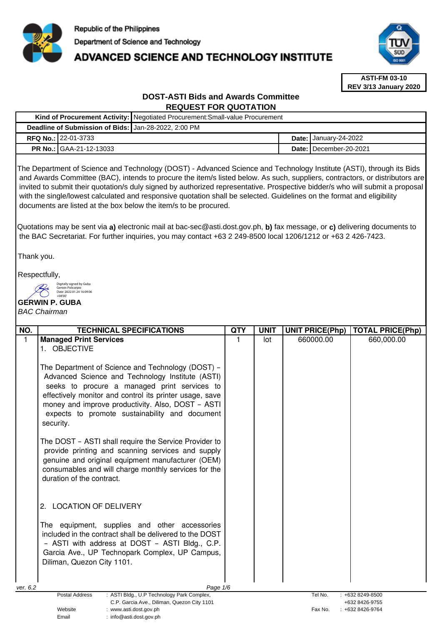

# **ADVANCED SCIENCE AND TECHNOLOGY INSTITUTE**



**ASTI-FM 03-10 REV 3/13 January 2020**

# **DOST-ASTI Bids and Awards Committee REQUEST FOR QUOTATION**

|                                                      | Kind of Procurement Activity: Negotiated Procurement: Small-value Procurement |                                     |
|------------------------------------------------------|-------------------------------------------------------------------------------|-------------------------------------|
| Deadline of Submission of Bids: Jan-28-2022, 2:00 PM |                                                                               |                                     |
| <b>RFQ No.: 22-01-3733</b>                           |                                                                               | Date: $\frac{1}{2}$ January-24-2022 |
| <b>PR No.: GAA-21-12-13033</b>                       |                                                                               | Date: I December-20-2021            |

The Department of Science and Technology (DOST) - Advanced Science and Technology Institute (ASTI), through its Bids and Awards Committee (BAC), intends to procure the item/s listed below. As such, suppliers, contractors, or distributors are invited to submit their quotation/s duly signed by authorized representative. Prospective bidder/s who will submit a proposal with the single/lowest calculated and responsive quotation shall be selected. Guidelines on the format and eligibility documents are listed at the box below the item/s to be procured.

Quotations may be sent via **a)** electronic mail at bac-sec@asti.dost.gov.ph, **b)** fax message, or **c)** delivering documents to the BAC Secretariat. For further inquiries, you may contact +63 2 249-8500 local 1206/1212 or +63 2 426-7423.

Thank you.

Respectfully,



Email : info@asti.dost.gov.ph

# **GERWIN P. GUBA**

# BAC Chairman

| NO.                                                                                                                | <b>TECHNICAL SPECIFICATIONS</b>                         | QTY | <b>UNIT</b> | <b>UNIT PRICE(Php)</b> | <b>TOTAL PRICE(Php)</b>             |
|--------------------------------------------------------------------------------------------------------------------|---------------------------------------------------------|-----|-------------|------------------------|-------------------------------------|
| $\mathbf{1}$                                                                                                       | <b>Managed Print Services</b>                           | 1   | lot         | 660000.00              | 660,000.00                          |
|                                                                                                                    | 1. OBJECTIVE                                            |     |             |                        |                                     |
|                                                                                                                    |                                                         |     |             |                        |                                     |
|                                                                                                                    | The Department of Science and Technology (DOST) -       |     |             |                        |                                     |
|                                                                                                                    | Advanced Science and Technology Institute (ASTI)        |     |             |                        |                                     |
|                                                                                                                    | seeks to procure a managed print services to            |     |             |                        |                                     |
|                                                                                                                    | effectively monitor and control its printer usage, save |     |             |                        |                                     |
|                                                                                                                    | money and improve productivity. Also, DOST - ASTI       |     |             |                        |                                     |
|                                                                                                                    | expects to promote sustainability and document          |     |             |                        |                                     |
|                                                                                                                    | security.                                               |     |             |                        |                                     |
|                                                                                                                    |                                                         |     |             |                        |                                     |
|                                                                                                                    | The DOST - ASTI shall require the Service Provider to   |     |             |                        |                                     |
|                                                                                                                    | provide printing and scanning services and supply       |     |             |                        |                                     |
|                                                                                                                    | genuine and original equipment manufacturer (OEM)       |     |             |                        |                                     |
|                                                                                                                    | consumables and will charge monthly services for the    |     |             |                        |                                     |
|                                                                                                                    | duration of the contract.                               |     |             |                        |                                     |
|                                                                                                                    |                                                         |     |             |                        |                                     |
|                                                                                                                    | <b>LOCATION OF DELIVERY</b><br>$2 -$                    |     |             |                        |                                     |
|                                                                                                                    |                                                         |     |             |                        |                                     |
|                                                                                                                    | The equipment, supplies and other accessories           |     |             |                        |                                     |
|                                                                                                                    | included in the contract shall be delivered to the DOST |     |             |                        |                                     |
|                                                                                                                    | - ASTI with address at DOST - ASTI Bldg., C.P.          |     |             |                        |                                     |
|                                                                                                                    | Garcia Ave., UP Technopark Complex, UP Campus,          |     |             |                        |                                     |
|                                                                                                                    | Diliman, Quezon City 1101.                              |     |             |                        |                                     |
|                                                                                                                    |                                                         |     |             |                        |                                     |
|                                                                                                                    |                                                         |     |             |                        |                                     |
| ver. 6.2                                                                                                           | Page 1/6                                                |     |             |                        |                                     |
| <b>Postal Address</b><br>: ASTI Bldg., U.P Technology Park Complex,<br>C.P. Garcia Ave., Diliman, Quezon City 1101 |                                                         |     |             | Tel No.                | $: +6328249-8500$<br>+632 8426-9755 |
|                                                                                                                    | Website<br>www.asti.dost.gov.ph                         |     |             | Fax No.                | +632 8426-9764                      |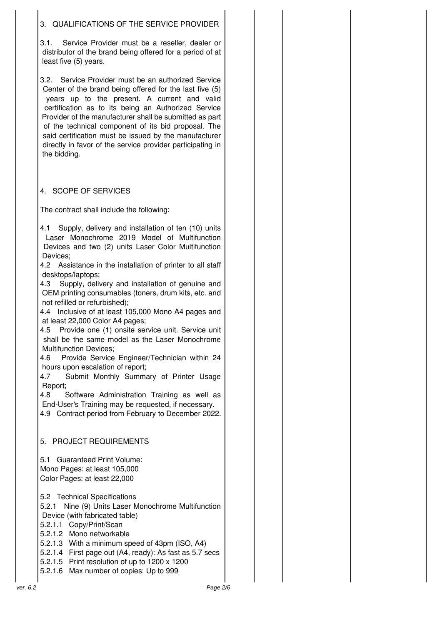# 3. QUALIFICATIONS OF THE SERVICE PROVIDER

3.1. Service Provider must be a reseller, dealer or distributor of the brand being offered for a period of at least five (5) years.

3.2. Service Provider must be an authorized Service Center of the brand being offered for the last five (5) years up to the present. A current and valid certification as to its being an Authorized Service Provider of the manufacturer shall be submitted as part of the technical component of its bid proposal. The said certification must be issued by the manufacturer directly in favor of the service provider participating in the bidding.

# 4. SCOPE OF SERVICES

The contract shall include the following:

4.1 Supply, delivery and installation of ten (10) units Laser Monochrome 2019 Model of Multifunction Devices and two (2) units Laser Color Multifunction Devices;

4.2 Assistance in the installation of printer to all staff desktops/laptops;

4.3 Supply, delivery and installation of genuine and OEM printing consumables (toners, drum kits, etc. and not refilled or refurbished);

4.4 Inclusive of at least 105,000 Mono A4 pages and at least 22,000 Color A4 pages;

4.5 Provide one (1) onsite service unit. Service unit shall be the same model as the Laser Monochrome Multifunction Devices;

4.6 Provide Service Engineer/Technician within 24 hours upon escalation of report;

4.7 Submit Monthly Summary of Printer Usage Report;

4.8 Software Administration Training as well as End-User's Training may be requested, if necessary. 4.9 Contract period from February to December 2022.

5. PROJECT REQUIREMENTS

5.1 Guaranteed Print Volume: Mono Pages: at least 105,000 Color Pages: at least 22,000

5.2 Technical Specifications

5.2.1 Nine (9) Units Laser Monochrome Multifunction Device (with fabricated table)

5.2.1.1 Copy/Print/Scan

5.2.1.2 Mono networkable

5.2.1.3 With a minimum speed of 43pm (ISO, A4)

5.2.1.4 First page out (A4, ready): As fast as 5.7 secs

5.2.1.5 Print resolution of up to 1200 x 1200

5.2.1.6 Max number of copies: Up to 999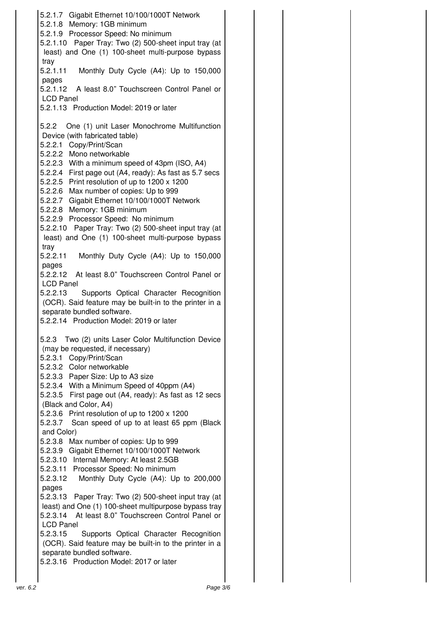5.2.1.7 Gigabit Ethernet 10/100/1000T Network 5.2.1.8 Memory: 1GB minimum 5.2.1.9 Processor Speed: No minimum 5.2.1.10 Paper Tray: Two (2) 500-sheet input tray (at least) and One (1) 100-sheet multi-purpose bypass tray 5.2.1.11 Monthly Duty Cycle (A4): Up to 150,000 pages 5.2.1.12 A least 8.0" Touchscreen Control Panel or LCD Panel 5.2.1.13 Production Model: 2019 or later 5.2.2 One (1) unit Laser Monochrome Multifunction Device (with fabricated table) 5.2.2.1 Copy/Print/Scan 5.2.2.2 Mono networkable 5.2.2.3 With a minimum speed of 43pm (ISO, A4) 5.2.2.4 First page out (A4, ready): As fast as 5.7 secs 5.2.2.5 Print resolution of up to 1200 x 1200 5.2.2.6 Max number of copies: Up to 999 5.2.2.7 Gigabit Ethernet 10/100/1000T Network 5.2.2.8 Memory: 1GB minimum 5.2.2.9 Processor Speed: No minimum 5.2.2.10 Paper Tray: Two (2) 500-sheet input tray (at least) and One (1) 100-sheet multi-purpose bypass tray 5.2.2.11 Monthly Duty Cycle (A4): Up to 150,000 pages 5.2.2.12 At least 8.0" Touchscreen Control Panel or LCD Panel 5.2.2.13 Supports Optical Character Recognition (OCR). Said feature may be built-in to the printer in a separate bundled software. 5.2.2.14 Production Model: 2019 or later 5.2.3 Two (2) units Laser Color Multifunction Device (may be requested, if necessary) 5.2.3.1 Copy/Print/Scan 5.2.3.2 Color networkable 5.2.3.3 Paper Size: Up to A3 size 5.2.3.4 With a Minimum Speed of 40ppm (A4) 5.2.3.5 First page out (A4, ready): As fast as 12 secs (Black and Color, A4) 5.2.3.6 Print resolution of up to 1200 x 1200 5.2.3.7 Scan speed of up to at least 65 ppm (Black and Color) 5.2.3.8 Max number of copies: Up to 999 5.2.3.9 Gigabit Ethernet 10/100/1000T Network 5.2.3.10 Internal Memory: At least 2.5GB 5.2.3.11 Processor Speed: No minimum 5.2.3.12 Monthly Duty Cycle (A4): Up to 200,000 pages 5.2.3.13 Paper Tray: Two (2) 500-sheet input tray (at least) and One (1) 100-sheet multipurpose bypass tray 5.2.3.14 At least 8.0" Touchscreen Control Panel or LCD Panel 5.2.3.15 Supports Optical Character Recognition (OCR). Said feature may be built-in to the printer in a separate bundled software. 5.2.3.16 Production Model: 2017 or later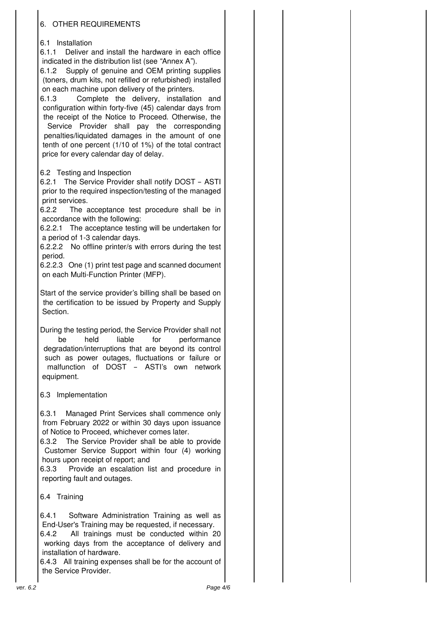# 6. OTHER REQUIREMENTS

## 6.1 Installation

6.1.1 Deliver and install the hardware in each office indicated in the distribution list (see "Annex A").

6.1.2 Supply of genuine and OEM printing supplies (toners, drum kits, not refilled or refurbished) installed on each machine upon delivery of the printers.

6.1.3 Complete the delivery, installation and configuration within forty-five (45) calendar days from the receipt of the Notice to Proceed. Otherwise, the

Service Provider shall pay the corresponding penalties/liquidated damages in the amount of one tenth of one percent (1/10 of 1%) of the total contract price for every calendar day of delay.

## 6.2 Testing and Inspection

6.2.1 The Service Provider shall notify DOST – ASTI prior to the required inspection/testing of the managed print services.

6.2.2 The acceptance test procedure shall be in accordance with the following:

6.2.2.1 The acceptance testing will be undertaken for a period of 1-3 calendar days.

6.2.2.2 No offline printer/s with errors during the test period.

6.2.2.3 One (1) print test page and scanned document on each Multi-Function Printer (MFP).

Start of the service provider's billing shall be based on the certification to be issued by Property and Supply Section.

During the testing period, the Service Provider shall not be held liable for performance degradation/interruptions that are beyond its control such as power outages, fluctuations or failure or malfunction of DOST – ASTI's own network equipment.

## 6.3 Implementation

6.3.1 Managed Print Services shall commence only from February 2022 or within 30 days upon issuance of Notice to Proceed, whichever comes later.

6.3.2 The Service Provider shall be able to provide Customer Service Support within four (4) working hours upon receipt of report; and

6.3.3 Provide an escalation list and procedure in reporting fault and outages.

6.4 Training

6.4.1 Software Administration Training as well as End-User's Training may be requested, if necessary.

6.4.2 All trainings must be conducted within 20 working days from the acceptance of delivery and installation of hardware.

6.4.3 All training expenses shall be for the account of the Service Provider.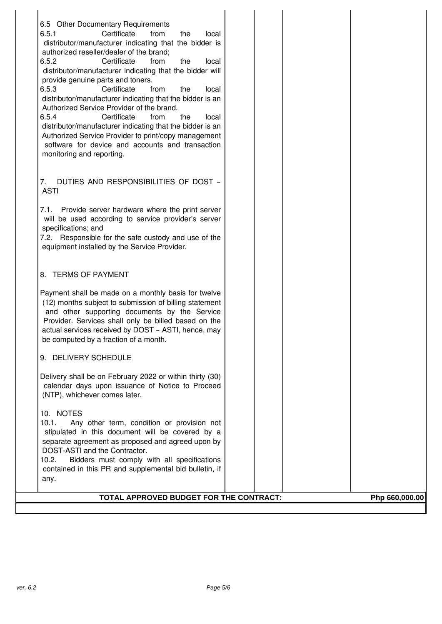| 6.5 Other Documentary Requirements                                                        |                |
|-------------------------------------------------------------------------------------------|----------------|
| 6.5.1<br>Certificate<br>from<br>the<br>local                                              |                |
| distributor/manufacturer indicating that the bidder is                                    |                |
| authorized reseller/dealer of the brand;                                                  |                |
| 6.5.2<br>Certificate<br>the<br>from<br>local                                              |                |
| distributor/manufacturer indicating that the bidder will                                  |                |
| provide genuine parts and toners.                                                         |                |
| 6.5.3<br>Certificate<br>from<br>the<br>local                                              |                |
| distributor/manufacturer indicating that the bidder is an                                 |                |
| Authorized Service Provider of the brand.<br>6.5.4<br>Certificate<br>from<br>the<br>local |                |
| distributor/manufacturer indicating that the bidder is an                                 |                |
| Authorized Service Provider to print/copy management                                      |                |
| software for device and accounts and transaction                                          |                |
| monitoring and reporting.                                                                 |                |
|                                                                                           |                |
|                                                                                           |                |
| 7.<br>DUTIES AND RESPONSIBILITIES OF DOST -                                               |                |
| <b>ASTI</b>                                                                               |                |
| Provide server hardware where the print server<br>7.1.                                    |                |
| will be used according to service provider's server                                       |                |
| specifications; and                                                                       |                |
| 7.2. Responsible for the safe custody and use of the                                      |                |
| equipment installed by the Service Provider.                                              |                |
|                                                                                           |                |
|                                                                                           |                |
| 8. TERMS OF PAYMENT                                                                       |                |
| Payment shall be made on a monthly basis for twelve                                       |                |
| (12) months subject to submission of billing statement                                    |                |
| and other supporting documents by the Service                                             |                |
| Provider. Services shall only be billed based on the                                      |                |
| actual services received by DOST - ASTI, hence, may                                       |                |
| be computed by a fraction of a month.                                                     |                |
|                                                                                           |                |
| 9. DELIVERY SCHEDULE                                                                      |                |
| Delivery shall be on February 2022 or within thirty (30)                                  |                |
| calendar days upon issuance of Notice to Proceed                                          |                |
| (NTP), whichever comes later.                                                             |                |
|                                                                                           |                |
| 10. NOTES                                                                                 |                |
| 10.1.<br>Any other term, condition or provision not                                       |                |
| stipulated in this document will be covered by a                                          |                |
| separate agreement as proposed and agreed upon by<br>DOST-ASTI and the Contractor.        |                |
| Bidders must comply with all specifications<br>10.2.                                      |                |
| contained in this PR and supplemental bid bulletin, if                                    |                |
| any.                                                                                      |                |
|                                                                                           |                |
| TOTAL APPROVED BUDGET FOR THE CONTRACT:                                                   | Php 660,000.00 |

I